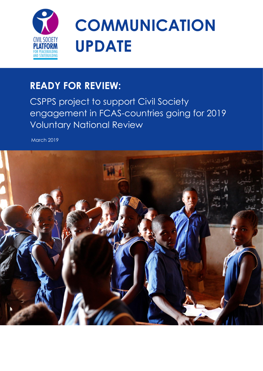

# **COMMUNICATION UPDATE**

# **READY FOR REVIEW:**

CSPPS project to support Civil Society engagement in FCAS-countries going for 2019 Voluntary National Review

March 2019

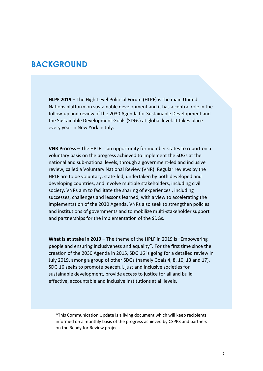# **BACKGROUND**

**HLPF 2019** – The High-Level Political Forum (HLPF) is the main United Nations platform on sustainable development and it has a central role in the follow-up and review of the 2030 Agenda for Sustainable Development and the Sustainable Development Goals (SDGs) at global level. It takes place every year in New York in July.

**VNR Process** – The HPLF is an opportunity for member states to report on a voluntary basis on the progress achieved to implement the SDGs at the national and sub-national levels, through a government-led and inclusive review, called a Voluntary National Review (VNR). Regular reviews by the HPLF are to be voluntary, state-led, undertaken by both developed and developing countries, and involve multiple stakeholders, including civil society. VNRs aim to facilitate the sharing of experiences , including successes, challenges and lessons learned, with a view to accelerating the implementation of the 2030 Agenda. VNRs also seek to strengthen policies and institutions of governments and to mobilize multi-stakeholder support and partnerships for the implementation of the SDGs.

**What is at stake in 2019** – The theme of the HPLF in 2019 is "Empowering people and ensuring inclusiveness and equality". For the first time since the creation of the 2030 Agenda in 2015, SDG 16 is going for a detailed review in July 2019, among a group of other SDGs (namely Goals 4, 8, 10, 13 and 17). SDG 16 seeks to promote peaceful, just and inclusive societies for sustainable development, provide access to justice for all and build effective, accountable and inclusive institutions at all levels.

\*This Communication Update is a living document which will keep recipients informed on a monthly basis of the progress achieved by CSPPS and partners on the Ready for Review project.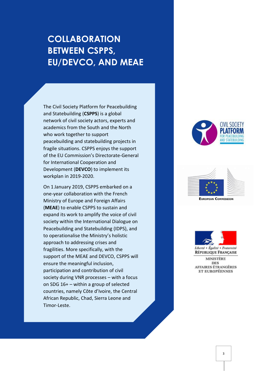# **COLLABORATION BETWEEN CSPPS, EU/DEVCO, AND MEAE**

The Civil Society Platform for Peacebuilding and Statebuilding (**CSPPS**) is a global network of civil society actors, experts and academics from the South and the North who work together to support peacebuilding and statebuilding projects in fragile situations. CSPPS enjoys the support of the EU Commission's Directorate-General for International Cooperation and Development (**DEVCO**) to implement its workplan in 2019-2020.

On 1 January 2019, CSPPS embarked on a one-year collaboration with the French Ministry of Europe and Foreign Affairs (**MEAE**) to enable CSPPS to sustain and expand its work to amplify the voice of civil society within the International Dialogue on Peacebuilding and Statebuilding (IDPS), and to operationalise the Ministry's holistic approach to addressing crises and fragilities. More specifically, with the support of the MEAE and DEVCO, CSPPS will ensure the meaningful inclusion, participation and contribution of civil society during VNR processes – with a focus on SDG 16+ – within a group of selected countries, namely Côte d'Ivoire, the Central African Republic, Chad, Sierra Leone and Timor-Leste.







Liberté • Égalité • Fraternité RÉPUBLIQUE FRANÇAISE

**MINISTÈRE DES** AFFAIRES ÉTRANGÈRES ET EUROPÉENNES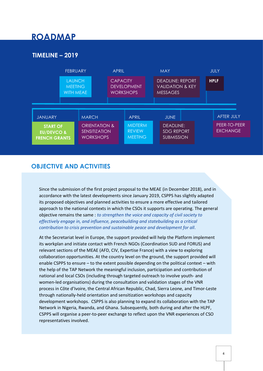# **ROADMAP**

#### **TIMELINE – 2019**



#### **OBJECTIVE AND ACTIVITIES**

Since the submission of the first project proposal to the MEAE (in December 2018), and in accordance with the latest developments since January 2019, CSPPS has slightly adapted its proposed objectives and planned activities to ensure a more effective and tailored approach to the national contexts in which the CSOs it supports are operating. The general objective remains the same : *to strengthen the voice and capacity of civil society to effectively engage in, and influence, peacebuilding and statebuilding as a critical contribution to crisis prevention and sustainable peace and development for all*.

At the Secretariat level in Europe, the support provided will help the Platform implement its workplan and initiate contact with French NGOs (Coordination SUD and FORUS) and relevant sections of the MEAE (AFD, CIV, Expertise France) with a view to exploring collaboration opportunities. At the country level on the ground, the support provided will enable CSPPS to ensure – to the extent possible depending on the political context – with the help of the TAP Network the meaningful inclusion, participation and contribution of national and local CSOs (including through targeted outreach to involve youth- and women-led organisations) during the consultation and validation stages of the VNR process in Côte d'Ivoire, the Central African Republic, Chad, Sierra Leone, and Timor-Leste through nationally-held orientation and sensitization workshops and capacity development workshops. CSPPS is also planning to expand its collaboration with the TAP Network in Nigeria, Rwanda, and Ghana. Subsequently, both during and after the HLPF, CSPPS will organise a peer-to-peer exchange to reflect upon the VNR experiences of CSO representatives involved.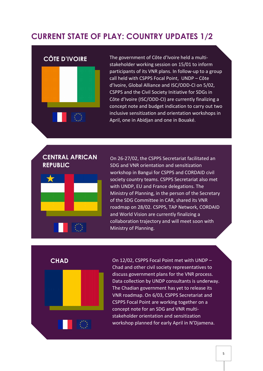# **CURRENT STATE OF PLAY: COUNTRY UPDATES 1/2**

#### **CÔTE D'IVOIRE**



The government of Côte d'Ivoire held a multistakeholder working session on 15/01 to inform participants of its VNR plans. In follow-up to a group call held with CSPPS Focal Point, UNDP – Côte d'Ivoire, Global Alliance and ISC/ODD-CI on 5/02, CSPPS and the Civil Society Initiative for SDGs in Côte d'Ivoire (ISC/ODD-CI) are currently finalizing a concept note and budget indication to carry out two inclusive sensitization and orientation workshops in April, one in Abidjan and one in Bouaké.

## **CENTRAL AFRICAN REPUBLIC**



On 26-27/02, the CSPPS Secretariat facilitated an SDG and VNR orientation and sensitization workshop in Bangui for CSPPS and CORDAID civil society country teams. CSPPS Secretariat also met with UNDP, EU and France delegations. The Ministry of Planning, in the person of the Secretary of the SDG Committee in CAR, shared its VNR roadmap on 28/02. CSPPS, TAP Network, CORDAID and World Vision are currently finalizing a collaboration trajectory and will meet soon with Ministry of Planning.

**CHAD**



On 12/02, CSPPS Focal Point met with UNDP – Chad and other civil society representatives to discuss government plans for the VNR process. Data collection by UNDP consultants is underway. The Chadian government has yet to release its VNR roadmap. On 6/03, CSPPS Secretariat and CSPPS Focal Point are working together on a concept note for an SDG and VNR multistakeholder orientation and sensitization workshop planned for early April in N'Djamena.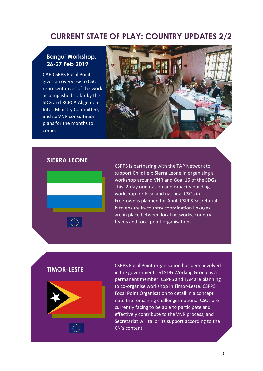# **CURRENT STATE OF PLAY: COUNTRY UPDATES 2/2**

#### **Bangui Workshop, 26-27 Feb 2019**

CAR CSPPS Focal Point gives an overview to CSO representatives of the work accomplished so far by the SDG and RCPCA Alignment Inter-Ministry Committee, and its VNR consultation plans for the months to come.



#### **SIERRA LEONE**



CSPPS is partnering with the TAP Network to support ChildHelp Sierra Leone in organising a workshop around VNR and Goal 16 of the SDGs. This 2-day orientation and capacity building workshop for local and national CSOs in Freetown is planned for April. CSPPS Secretariat is to ensure in-country coordination linkages are in place between local networks, country teams and focal point organisations.

#### **TIMOR-LESTE**



CSPPS Focal Point organisation has been involved in the government-led SDG Working Group as a permanent member. CSPPS and TAP are planning to co-organise workshop in Timor-Leste. CSPPS Focal Point Organisation to detail in a concept note the remaining challenges national CSOs are currently facing to be able to participate and effectively contribute to the VNR process, and Secretariat will tailor its support according to the CN's content.